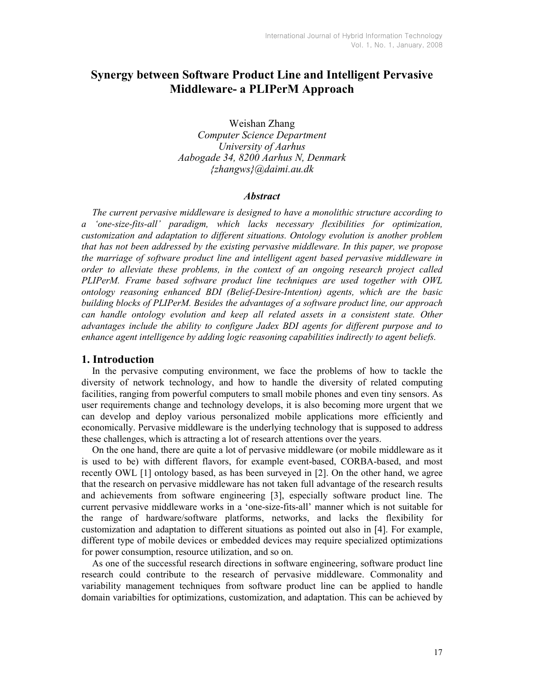# Synergy between Software Product Line and Intelligent Pervasive Middleware- a PLIPerM Approach

Weishan Zhang Computer Science Department University of Aarhus Aabogade 34, 8200 Aarhus N, Denmark {zhangws}@daimi.au.dk

#### **Abstract**

The current pervasive middleware is designed to have a monolithic structure according to a 'one-size-fits-all' paradigm, which lacks necessary flexibilities for optimization, customization and adaptation to different situations. Ontology evolution is another problem that has not been addressed by the existing pervasive middleware. In this paper, we propose the marriage of software product line and intelligent agent based pervasive middleware in order to alleviate these problems, in the context of an ongoing research project called PLIPerM. Frame based software product line techniques are used together with OWL ontology reasoning enhanced BDI (Belief-Desire-Intention) agents, which are the basic building blocks of PLIPerM. Besides the advantages of a software product line, our approach can handle ontology evolution and keep all related assets in a consistent state. Other advantages include the ability to configure Jadex BDI agents for different purpose and to enhance agent intelligence by adding logic reasoning capabilities indirectly to agent beliefs.

## 1. Introduction

In the pervasive computing environment, we face the problems of how to tackle the diversity of network technology, and how to handle the diversity of related computing facilities, ranging from powerful computers to small mobile phones and even tiny sensors. As user requirements change and technology develops, it is also becoming more urgent that we can develop and deploy various personalized mobile applications more efficiently and economically. Pervasive middleware is the underlying technology that is supposed to address these challenges, which is attracting a lot of research attentions over the years.

On the one hand, there are quite a lot of pervasive middleware (or mobile middleware as it is used to be) with different flavors, for example event-based, CORBA-based, and most recently OWL [1] ontology based, as has been surveyed in [2]. On the other hand, we agree that the research on pervasive middleware has not taken full advantage of the research results and achievements from software engineering [3], especially software product line. The current pervasive middleware works in a 'one-size-fits-all' manner which is not suitable for the range of hardware/software platforms, networks, and lacks the flexibility for customization and adaptation to different situations as pointed out also in [4]. For example, different type of mobile devices or embedded devices may require specialized optimizations for power consumption, resource utilization, and so on.

As one of the successful research directions in software engineering, software product line research could contribute to the research of pervasive middleware. Commonality and variability management techniques from software product line can be applied to handle domain variabilties for optimizations, customization, and adaptation. This can be achieved by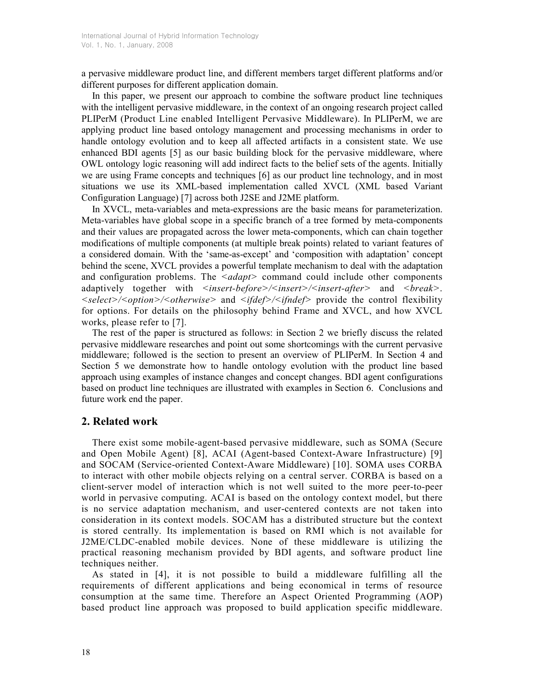a pervasive middleware product line, and different members target different platforms and/or different purposes for different application domain.

In this paper, we present our approach to combine the software product line techniques with the intelligent pervasive middleware, in the context of an ongoing research project called PLIPerM (Product Line enabled Intelligent Pervasive Middleware). In PLIPerM, we are applying product line based ontology management and processing mechanisms in order to handle ontology evolution and to keep all affected artifacts in a consistent state. We use enhanced BDI agents [5] as our basic building block for the pervasive middleware, where OWL ontology logic reasoning will add indirect facts to the belief sets of the agents. Initially we are using Frame concepts and techniques [6] as our product line technology, and in most situations we use its XML-based implementation called XVCL (XML based Variant Configuration Language) [7] across both J2SE and J2ME platform.

In XVCL, meta-variables and meta-expressions are the basic means for parameterization. Meta-variables have global scope in a specific branch of a tree formed by meta-components and their values are propagated across the lower meta-components, which can chain together modifications of multiple components (at multiple break points) related to variant features of a considered domain. With the 'same-as-except' and 'composition with adaptation' concept behind the scene, XVCL provides a powerful template mechanism to deal with the adaptation and configuration problems. The  $\langle \text{adapt} \rangle$  command could include other components adaptively together with  $\langle$ insert-before> $\langle$  $\langle$ insert> $\rangle$  $\langle$ insert-after> and  $\langle$ break>. <select>/<option>/<otherwise> and <ifdef>/<ifndef> provide the control flexibility for options. For details on the philosophy behind Frame and XVCL, and how XVCL works, please refer to [7].

The rest of the paper is structured as follows: in Section 2 we briefly discuss the related pervasive middleware researches and point out some shortcomings with the current pervasive middleware; followed is the section to present an overview of PLIPerM. In Section 4 and Section 5 we demonstrate how to handle ontology evolution with the product line based approach using examples of instance changes and concept changes. BDI agent configurations based on product line techniques are illustrated with examples in Section 6. Conclusions and future work end the paper.

# 2. Related work

 There exist some mobile-agent-based pervasive middleware, such as SOMA (Secure and Open Mobile Agent) [8], ACAI (Agent-based Context-Aware Infrastructure) [9] and SOCAM (Service-oriented Context-Aware Middleware) [10]. SOMA uses CORBA to interact with other mobile objects relying on a central server. CORBA is based on a client-server model of interaction which is not well suited to the more peer-to-peer world in pervasive computing. ACAI is based on the ontology context model, but there is no service adaptation mechanism, and user-centered contexts are not taken into consideration in its context models. SOCAM has a distributed structure but the context is stored centrally. Its implementation is based on RMI which is not available for J2ME/CLDC-enabled mobile devices. None of these middleware is utilizing the practical reasoning mechanism provided by BDI agents, and software product line techniques neither.

As stated in [4], it is not possible to build a middleware fulfilling all the requirements of different applications and being economical in terms of resource consumption at the same time. Therefore an Aspect Oriented Programming (AOP) based product line approach was proposed to build application specific middleware.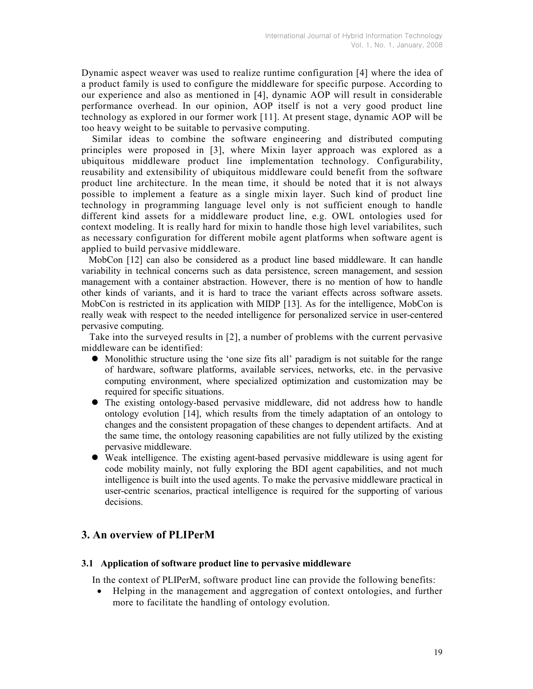Dynamic aspect weaver was used to realize runtime configuration [4] where the idea of a product family is used to configure the middleware for specific purpose. According to our experience and also as mentioned in [4], dynamic AOP will result in considerable performance overhead. In our opinion, AOP itself is not a very good product line technology as explored in our former work [11]. At present stage, dynamic AOP will be too heavy weight to be suitable to pervasive computing.

Similar ideas to combine the software engineering and distributed computing principles were proposed in [3], where Mixin layer approach was explored as a ubiquitous middleware product line implementation technology. Configurability, reusability and extensibility of ubiquitous middleware could benefit from the software product line architecture. In the mean time, it should be noted that it is not always possible to implement a feature as a single mixin layer. Such kind of product line technology in programming language level only is not sufficient enough to handle different kind assets for a middleware product line, e.g. OWL ontologies used for context modeling. It is really hard for mixin to handle those high level variabilites, such as necessary configuration for different mobile agent platforms when software agent is applied to build pervasive middleware.

 MobCon [12] can also be considered as a product line based middleware. It can handle variability in technical concerns such as data persistence, screen management, and session management with a container abstraction. However, there is no mention of how to handle other kinds of variants, and it is hard to trace the variant effects across software assets. MobCon is restricted in its application with MIDP [13]. As for the intelligence, MobCon is really weak with respect to the needed intelligence for personalized service in user-centered pervasive computing.

 Take into the surveyed results in [2], a number of problems with the current pervasive middleware can be identified:

- Monolithic structure using the 'one size fits all' paradigm is not suitable for the range of hardware, software platforms, available services, networks, etc. in the pervasive computing environment, where specialized optimization and customization may be required for specific situations.
- The existing ontology-based pervasive middleware, did not address how to handle ontology evolution [14], which results from the timely adaptation of an ontology to changes and the consistent propagation of these changes to dependent artifacts. And at the same time, the ontology reasoning capabilities are not fully utilized by the existing pervasive middleware.
- Weak intelligence. The existing agent-based pervasive middleware is using agent for code mobility mainly, not fully exploring the BDI agent capabilities, and not much intelligence is built into the used agents. To make the pervasive middleware practical in user-centric scenarios, practical intelligence is required for the supporting of various decisions.

# 3. An overview of PLIPerM

#### 3.1 Application of software product line to pervasive middleware

In the context of PLIPerM, software product line can provide the following benefits:

• Helping in the management and aggregation of context ontologies, and further more to facilitate the handling of ontology evolution.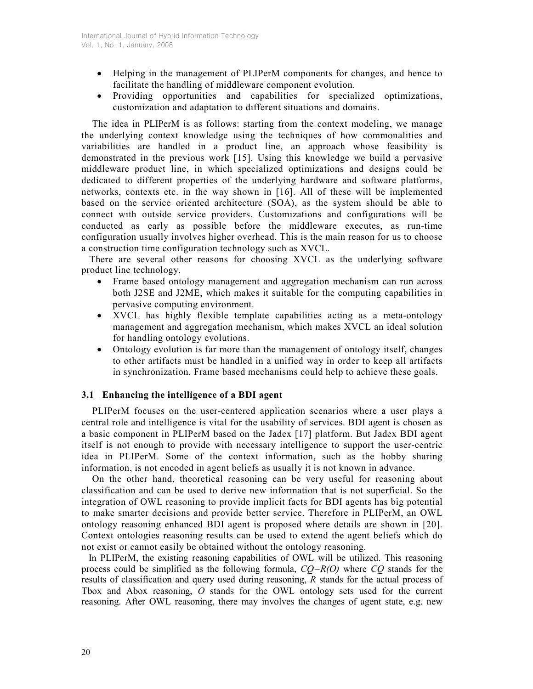- Helping in the management of PLIPerM components for changes, and hence to facilitate the handling of middleware component evolution.
- Providing opportunities and capabilities for specialized optimizations, customization and adaptation to different situations and domains.

The idea in PLIPerM is as follows: starting from the context modeling, we manage the underlying context knowledge using the techniques of how commonalities and variabilities are handled in a product line, an approach whose feasibility is demonstrated in the previous work [15]. Using this knowledge we build a pervasive middleware product line, in which specialized optimizations and designs could be dedicated to different properties of the underlying hardware and software platforms, networks, contexts etc. in the way shown in [16]. All of these will be implemented based on the service oriented architecture (SOA), as the system should be able to connect with outside service providers. Customizations and configurations will be conducted as early as possible before the middleware executes, as run-time configuration usually involves higher overhead. This is the main reason for us to choose a construction time configuration technology such as XVCL.

 There are several other reasons for choosing XVCL as the underlying software product line technology.

- Frame based ontology management and aggregation mechanism can run across both J2SE and J2ME, which makes it suitable for the computing capabilities in pervasive computing environment.
- XVCL has highly flexible template capabilities acting as a meta-ontology management and aggregation mechanism, which makes XVCL an ideal solution for handling ontology evolutions.
- Ontology evolution is far more than the management of ontology itself, changes to other artifacts must be handled in a unified way in order to keep all artifacts in synchronization. Frame based mechanisms could help to achieve these goals.

## 3.1 Enhancing the intelligence of a BDI agent

PLIPerM focuses on the user-centered application scenarios where a user plays a central role and intelligence is vital for the usability of services. BDI agent is chosen as a basic component in PLIPerM based on the Jadex [17] platform. But Jadex BDI agent itself is not enough to provide with necessary intelligence to support the user-centric idea in PLIPerM. Some of the context information, such as the hobby sharing information, is not encoded in agent beliefs as usually it is not known in advance.

On the other hand, theoretical reasoning can be very useful for reasoning about classification and can be used to derive new information that is not superficial. So the integration of OWL reasoning to provide implicit facts for BDI agents has big potential to make smarter decisions and provide better service. Therefore in PLIPerM, an OWL ontology reasoning enhanced BDI agent is proposed where details are shown in [20]. Context ontologies reasoning results can be used to extend the agent beliefs which do not exist or cannot easily be obtained without the ontology reasoning.

 In PLIPerM, the existing reasoning capabilities of OWL will be utilized. This reasoning process could be simplified as the following formula,  $CO=R(O)$  where CO stands for the results of classification and query used during reasoning, R stands for the actual process of Tbox and Abox reasoning, O stands for the OWL ontology sets used for the current reasoning. After OWL reasoning, there may involves the changes of agent state, e.g. new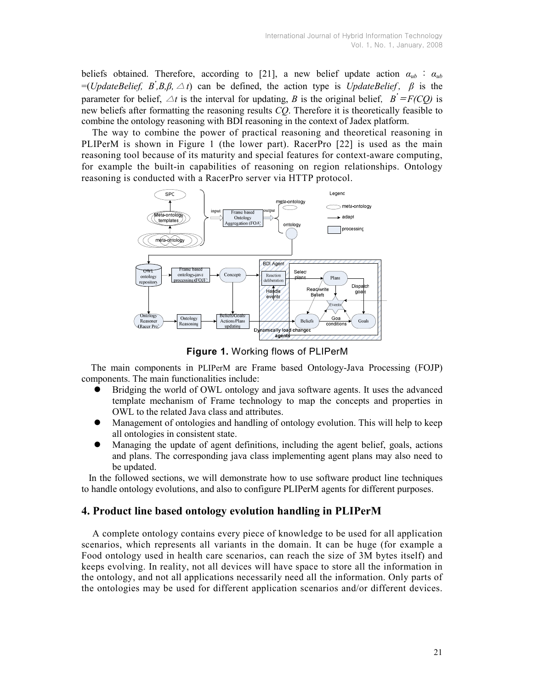beliefs obtained. Therefore, according to [21], a new belief update action  $\alpha_{ub}$  :  $\alpha_{ub}$ =(UpdateBelief, B, B, B, A t) can be defined, the action type is UpdateBelief,  $\beta$  is the parameter for belief,  $\triangle t$  is the interval for updating, B is the original belief,  $B' = F(CQ)$  is new beliefs after formatting the reasoning results CQ. Therefore it is theoretically feasible to combine the ontology reasoning with BDI reasoning in the context of Jadex platform.

The way to combine the power of practical reasoning and theoretical reasoning in PLIPerM is shown in Figure 1 (the lower part). RacerPro [22] is used as the main reasoning tool because of its maturity and special features for context-aware computing, for example the built-in capabilities of reasoning on region relationships. Ontology reasoning is conducted with a RacerPro server via HTTP protocol.



Figure 1. Working flows of PLIPerM

The main components in PLIPerM are Frame based Ontology-Java Processing (FOJP) components. The main functionalities include:

- Bridging the world of OWL ontology and java software agents. It uses the advanced template mechanism of Frame technology to map the concepts and properties in OWL to the related Java class and attributes.
- Management of ontologies and handling of ontology evolution. This will help to keep all ontologies in consistent state.
- Managing the update of agent definitions, including the agent belief, goals, actions and plans. The corresponding java class implementing agent plans may also need to be updated.

 In the followed sections, we will demonstrate how to use software product line techniques to handle ontology evolutions, and also to configure PLIPerM agents for different purposes.

# 4. Product line based ontology evolution handling in PLIPerM

A complete ontology contains every piece of knowledge to be used for all application scenarios, which represents all variants in the domain. It can be huge (for example a Food ontology used in health care scenarios, can reach the size of 3M bytes itself) and keeps evolving. In reality, not all devices will have space to store all the information in the ontology, and not all applications necessarily need all the information. Only parts of the ontologies may be used for different application scenarios and/or different devices.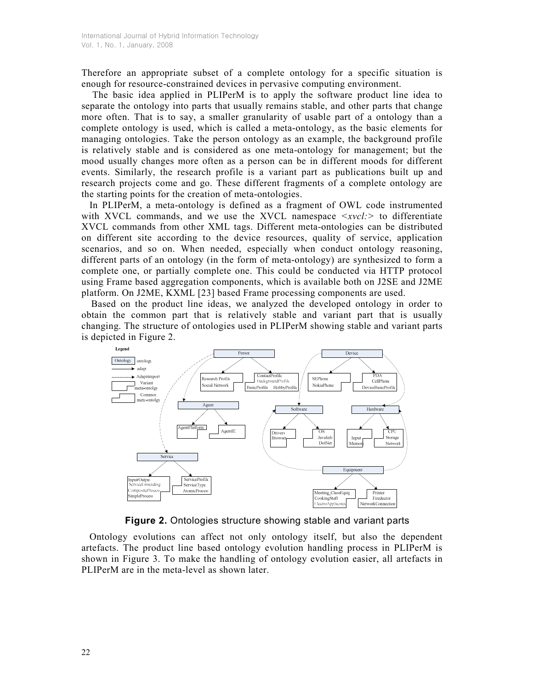Therefore an appropriate subset of a complete ontology for a specific situation is enough for resource-constrained devices in pervasive computing environment.

The basic idea applied in PLIPerM is to apply the software product line idea to separate the ontology into parts that usually remains stable, and other parts that change more often. That is to say, a smaller granularity of usable part of a ontology than a complete ontology is used, which is called a meta-ontology, as the basic elements for managing ontologies. Take the person ontology as an example, the background profile is relatively stable and is considered as one meta-ontology for management; but the mood usually changes more often as a person can be in different moods for different events. Similarly, the research profile is a variant part as publications built up and research projects come and go. These different fragments of a complete ontology are the starting points for the creation of meta-ontologies.

 In PLIPerM, a meta-ontology is defined as a fragment of OWL code instrumented with XVCL commands, and we use the XVCL namespace  $\langle xvc \cdot | z \rangle$  to differentiate XVCL commands from other XML tags. Different meta-ontologies can be distributed on different site according to the device resources, quality of service, application scenarios, and so on. When needed, especially when conduct ontology reasoning, different parts of an ontology (in the form of meta-ontology) are synthesized to form a complete one, or partially complete one. This could be conducted via HTTP protocol using Frame based aggregation components, which is available both on J2SE and J2ME platform. On J2ME, KXML [23] based Frame processing components are used.

Based on the product line ideas, we analyzed the developed ontology in order to obtain the common part that is relatively stable and variant part that is usually changing. The structure of ontologies used in PLIPerM showing stable and variant parts is depicted in Figure 2.



Figure 2. Ontologies structure showing stable and variant parts

 Ontology evolutions can affect not only ontology itself, but also the dependent artefacts. The product line based ontology evolution handling process in PLIPerM is shown in Figure 3. To make the handling of ontology evolution easier, all artefacts in PLIPerM are in the meta-level as shown later.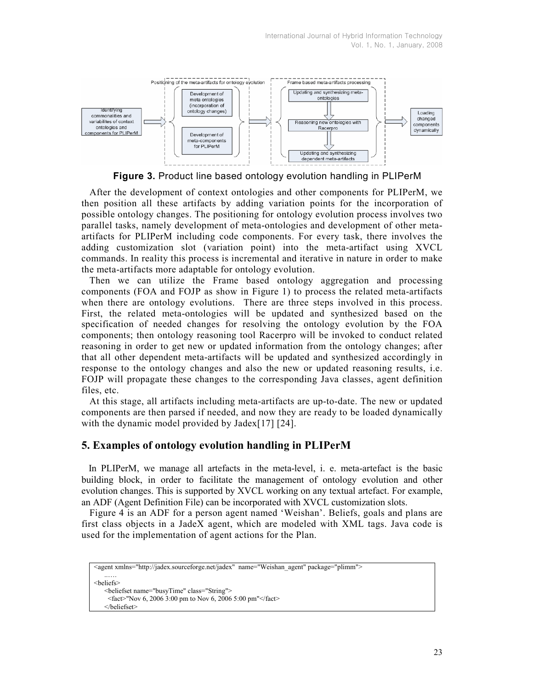

Figure 3. Product line based ontology evolution handling in PLIPerM

 After the development of context ontologies and other components for PLIPerM, we then position all these artifacts by adding variation points for the incorporation of possible ontology changes. The positioning for ontology evolution process involves two parallel tasks, namely development of meta-ontologies and development of other metaartifacts for PLIPerM including code components. For every task, there involves the adding customization slot (variation point) into the meta-artifact using XVCL commands. In reality this process is incremental and iterative in nature in order to make the meta-artifacts more adaptable for ontology evolution.

 Then we can utilize the Frame based ontology aggregation and processing components (FOA and FOJP as show in Figure 1) to process the related meta-artifacts when there are ontology evolutions. There are three steps involved in this process. First, the related meta-ontologies will be updated and synthesized based on the specification of needed changes for resolving the ontology evolution by the FOA components; then ontology reasoning tool Racerpro will be invoked to conduct related reasoning in order to get new or updated information from the ontology changes; after that all other dependent meta-artifacts will be updated and synthesized accordingly in response to the ontology changes and also the new or updated reasoning results, i.e. FOJP will propagate these changes to the corresponding Java classes, agent definition files, etc.

 At this stage, all artifacts including meta-artifacts are up-to-date. The new or updated components are then parsed if needed, and now they are ready to be loaded dynamically with the dynamic model provided by Jadex[17] [24].

# 5. Examples of ontology evolution handling in PLIPerM

 In PLIPerM, we manage all artefacts in the meta-level, i. e. meta-artefact is the basic building block, in order to facilitate the management of ontology evolution and other evolution changes. This is supported by XVCL working on any textual artefact. For example, an ADF (Agent Definition File) can be incorporated with XVCL customization slots.

 Figure 4 is an ADF for a person agent named 'Weishan'. Beliefs, goals and plans are first class objects in a JadeX agent, which are modeled with XML tags. Java code is used for the implementation of agent actions for the Plan.

```
<agent xmlns="http://jadex.sourceforge.net/jadex" name="Weishan_agent" package="plimm">
   ..…. 
<beliefs> 
   <beliefset name="busyTime" class="String"> 
    <fact>"Nov 6, 2006 3:00 pm to Nov 6, 2006 5:00 pm"</fact> 
   </beliefset>
```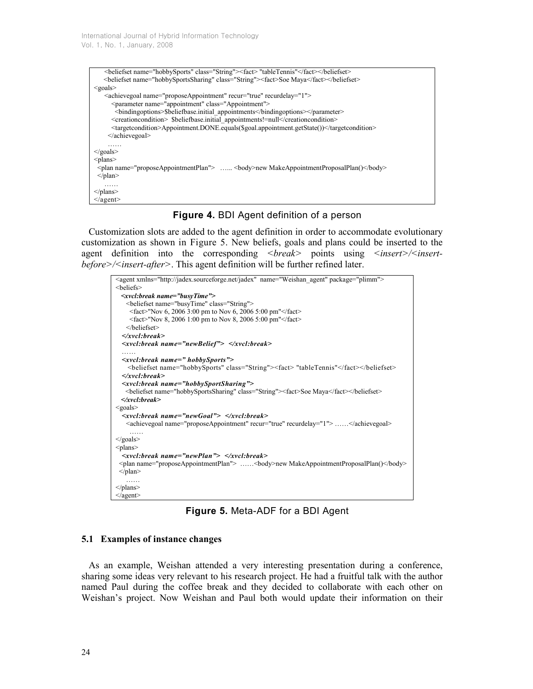| <br>beliefset name="hobbySports" class="String"> <fact> "tableTennis"</fact>                          |
|-------------------------------------------------------------------------------------------------------|
| <br>beliefset name="hobbySportsSharing" class="String"> <fact>Soe Maya</fact>                         |
| $<$ goals $>$                                                                                         |
| <achievegoal name="proposeAppointment" recur="true" recurdelay="1"></achievegoal>                     |
| <parameter class="Appointment" name="appointment"></parameter>                                        |
| <br>bindingoptions>\$beliefbase.initial appointments                                                  |
| <creationcondition> \$beliefbase.initial appointments!=null</creationcondition>                       |
| <targetcondition>Appointment.DONE.equals(\$goal.appointment.getState())</targetcondition>             |
| $\le$ /achievegoal>                                                                                   |
| .                                                                                                     |
| $\langle$ goals>                                                                                      |
| $<$ plans $>$                                                                                         |
| $\leq$ plan name="proposeAppointmentPlan"> $\leq$ body>new MakeAppointmentProposalPlan() $\leq$ body> |
| $<$ /plan $>$                                                                                         |
| .                                                                                                     |
| $\langle$ /plans                                                                                      |
| $\langle$ agent $\rangle$                                                                             |

## Figure 4. BDI Agent definition of a person

 Customization slots are added to the agent definition in order to accommodate evolutionary customization as shown in Figure 5. New beliefs, goals and plans could be inserted to the agent definition into the corresponding  $\langle break \rangle$  points using  $\langle insert \rangle / \langle insert \rangle$ before>/<insert-after>. This agent definition will be further refined later.



Figure 5. Meta-ADF for a BDI Agent

## 5.1 Examples of instance changes

 As an example, Weishan attended a very interesting presentation during a conference, sharing some ideas very relevant to his research project. He had a fruitful talk with the author named Paul during the coffee break and they decided to collaborate with each other on Weishan's project. Now Weishan and Paul both would update their information on their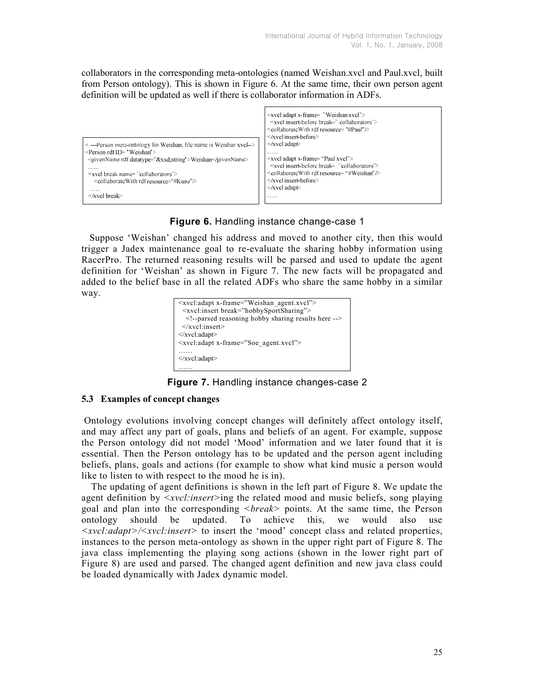collaborators in the corresponding meta-ontologies (named Weishan.xvcl and Paul.xvcl, built from Person ontology). This is shown in Figure 6. At the same time, their own person agent definition will be updated as well if there is collaborator information in ADFs.



# Figure 6. Handling instance change-case 1

 Suppose 'Weishan' changed his address and moved to another city, then this would trigger a Jadex maintenance goal to re-evaluate the sharing hobby information using RacerPro. The returned reasoning results will be parsed and used to update the agent definition for 'Weishan' as shown in Figure 7. The new facts will be propagated and added to the belief base in all the related ADFs who share the same hobby in a similar way.



Figure 7. Handling instance changes-case 2

## 5.3 Examples of concept changes

 Ontology evolutions involving concept changes will definitely affect ontology itself, and may affect any part of goals, plans and beliefs of an agent. For example, suppose the Person ontology did not model 'Mood' information and we later found that it is essential. Then the Person ontology has to be updated and the person agent including beliefs, plans, goals and actions (for example to show what kind music a person would like to listen to with respect to the mood he is in).

The updating of agent definitions is shown in the left part of Figure 8. We update the agent definition by  $\langle xvc \cdot l: insert \rangle$ ing the related mood and music beliefs, song playing goal and plan into the corresponding  $\langle break \rangle$  points. At the same time, the Person ontology should be updated. To achieve this, we would also use <xvcl:adapt>/<xvcl:insert> to insert the 'mood' concept class and related properties, instances to the person meta-ontology as shown in the upper right part of Figure 8. The java class implementing the playing song actions (shown in the lower right part of Figure 8) are used and parsed. The changed agent definition and new java class could be loaded dynamically with Jadex dynamic model.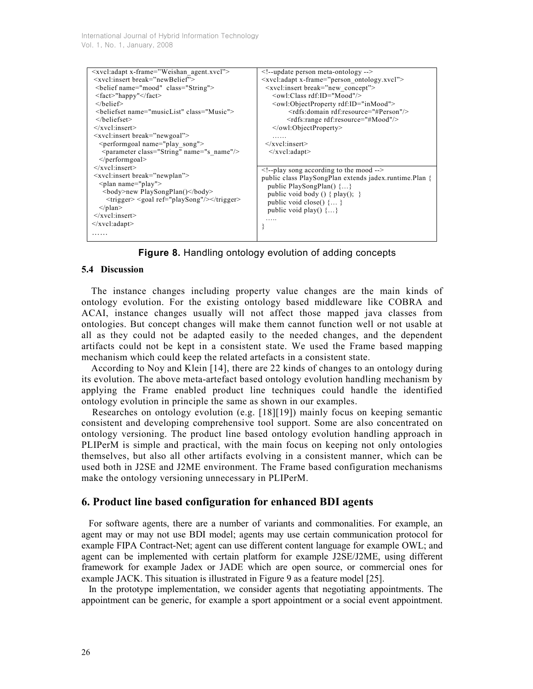International Journal of Hybrid Information Technology Vol. 1, No. 1, January, 2008

| <xvcl:adapt x-frame="Weishan agent.xvcl"></xvcl:adapt>                                                                                                                                                                                                                                                                                                                                                                        | $\leq$ !--update person meta-ontology -->                                 |
|-------------------------------------------------------------------------------------------------------------------------------------------------------------------------------------------------------------------------------------------------------------------------------------------------------------------------------------------------------------------------------------------------------------------------------|---------------------------------------------------------------------------|
|                                                                                                                                                                                                                                                                                                                                                                                                                               |                                                                           |
| <xvcl:insert break="newBelief"></xvcl:insert>                                                                                                                                                                                                                                                                                                                                                                                 | $\langle xvc \rangle$ : adapt x-frame="person_ontology.xvcl">             |
| <br>belief name="mood" class="String">                                                                                                                                                                                                                                                                                                                                                                                        | <xvcl:insert break="new concept"></xvcl:insert>                           |
| $<$ fact>"happy" $<$ /fact>                                                                                                                                                                                                                                                                                                                                                                                                   | $\leq$ owl:Class rdf:ID="Mood"/>                                          |
| $<$ /belief $>$                                                                                                                                                                                                                                                                                                                                                                                                               | <owl:objectproperty rdf:id="inMood"></owl:objectproperty>                 |
| <br>beliefset name="musicList" class="Music">                                                                                                                                                                                                                                                                                                                                                                                 | <rdfs:domain_rdf:resource="#person"></rdfs:domain_rdf:resource="#person"> |
| $\langle$ beliefset>                                                                                                                                                                                                                                                                                                                                                                                                          | <rdfs:range rdf:resource="#Mood"></rdfs:range>                            |
| $\langle$ xvcl:insert>                                                                                                                                                                                                                                                                                                                                                                                                        | $\le$ /owl:ObjectProperty>                                                |
| <xvcl:insert break="newgoal"></xvcl:insert>                                                                                                                                                                                                                                                                                                                                                                                   |                                                                           |
| $\epsilon$ = $\epsilon$ = $\epsilon$ = $\epsilon$ = $\epsilon$ = $\epsilon$ = $\epsilon$ = $\epsilon$ = $\epsilon$ = $\epsilon$ = $\epsilon$ = $\epsilon$ = $\epsilon$ = $\epsilon$ = $\epsilon$ = $\epsilon$ = $\epsilon$ = $\epsilon$ = $\epsilon$ = $\epsilon$ = $\epsilon$ = $\epsilon$ = $\epsilon$ = $\epsilon$ = $\epsilon$ = $\epsilon$ = $\epsilon$ = $\epsilon$ = $\epsilon$ = $\epsilon$ = $\epsilon$ = $\epsilon$ | $\langle$ xvcl:insert>                                                    |
| <parameter class="String" name="s name"></parameter>                                                                                                                                                                                                                                                                                                                                                                          | $\langle xvc \rangle$ :adapt $\langle$                                    |
| $\le$ /performgoal>                                                                                                                                                                                                                                                                                                                                                                                                           |                                                                           |
| $\langle$ xvcl:insert>                                                                                                                                                                                                                                                                                                                                                                                                        | $\leq$ !--play song according to the mood -->                             |
| <xvcl:insert break="newplan"></xvcl:insert>                                                                                                                                                                                                                                                                                                                                                                                   | public class PlaySongPlan extends jadex.runtime.Plan {                    |
| $\langle$ plan name="play">                                                                                                                                                                                                                                                                                                                                                                                                   | public PlaySongPlan() {}                                                  |
| <br>body>new PlaySongPlan()                                                                                                                                                                                                                                                                                                                                                                                                   |                                                                           |
| <trigger> <goal ref="playSong"></goal></trigger>                                                                                                                                                                                                                                                                                                                                                                              | public void body () { $play()$ ; }                                        |
|                                                                                                                                                                                                                                                                                                                                                                                                                               | public void close() $\{ \}$                                               |
| $\langle$ /plan $\rangle$                                                                                                                                                                                                                                                                                                                                                                                                     | public void play() $\{\}$                                                 |
| $\langle$ xvcl:insert>                                                                                                                                                                                                                                                                                                                                                                                                        |                                                                           |
| $\langle xvc : adapt \rangle$                                                                                                                                                                                                                                                                                                                                                                                                 |                                                                           |
|                                                                                                                                                                                                                                                                                                                                                                                                                               |                                                                           |
|                                                                                                                                                                                                                                                                                                                                                                                                                               |                                                                           |

Figure 8. Handling ontology evolution of adding concepts

#### 5.4 Discussion

The instance changes including property value changes are the main kinds of ontology evolution. For the existing ontology based middleware like COBRA and ACAI, instance changes usually will not affect those mapped java classes from ontologies. But concept changes will make them cannot function well or not usable at all as they could not be adapted easily to the needed changes, and the dependent artifacts could not be kept in a consistent state. We used the Frame based mapping mechanism which could keep the related artefacts in a consistent state.

According to Noy and Klein [14], there are 22 kinds of changes to an ontology during its evolution. The above meta-artefact based ontology evolution handling mechanism by applying the Frame enabled product line techniques could handle the identified ontology evolution in principle the same as shown in our examples.

 Researches on ontology evolution (e.g. [18][19]) mainly focus on keeping semantic consistent and developing comprehensive tool support. Some are also concentrated on ontology versioning. The product line based ontology evolution handling approach in PLIPerM is simple and practical, with the main focus on keeping not only ontologies themselves, but also all other artifacts evolving in a consistent manner, which can be used both in J2SE and J2ME environment. The Frame based configuration mechanisms make the ontology versioning unnecessary in PLIPerM.

## 6. Product line based configuration for enhanced BDI agents

 For software agents, there are a number of variants and commonalities. For example, an agent may or may not use BDI model; agents may use certain communication protocol for example FIPA Contract-Net; agent can use different content language for example OWL; and agent can be implemented with certain platform for example J2SE/J2ME, using different framework for example Jadex or JADE which are open source, or commercial ones for example JACK. This situation is illustrated in Figure 9 as a feature model [25].

 In the prototype implementation, we consider agents that negotiating appointments. The appointment can be generic, for example a sport appointment or a social event appointment.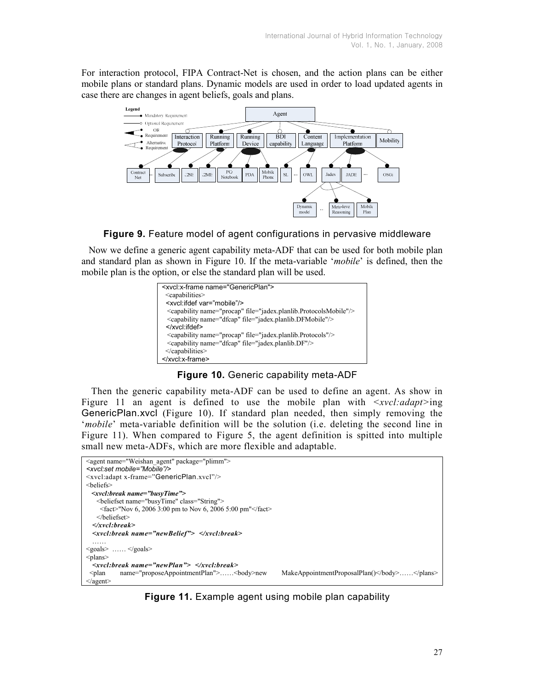For interaction protocol, FIPA Contract-Net is chosen, and the action plans can be either mobile plans or standard plans. Dynamic models are used in order to load updated agents in case there are changes in agent beliefs, goals and plans.



Figure 9. Feature model of agent configurations in pervasive middleware

 Now we define a generic agent capability meta-ADF that can be used for both mobile plan and standard plan as shown in Figure 10. If the meta-variable 'mobile' is defined, then the mobile plan is the option, or else the standard plan will be used.



Figure 10. Generic capability meta-ADF

Then the generic capability meta-ADF can be used to define an agent. As show in Figure 11 an agent is defined to use the mobile plan with  $\le$ xvcl:adapt>ing GenericPlan.xvcl (Figure 10). If standard plan needed, then simply removing the 'mobile' meta-variable definition will be the solution (i.e. deleting the second line in Figure 11). When compared to Figure 5, the agent definition is spitted into multiple small new meta-ADFs, which are more flexible and adaptable.



Figure 11. Example agent using mobile plan capability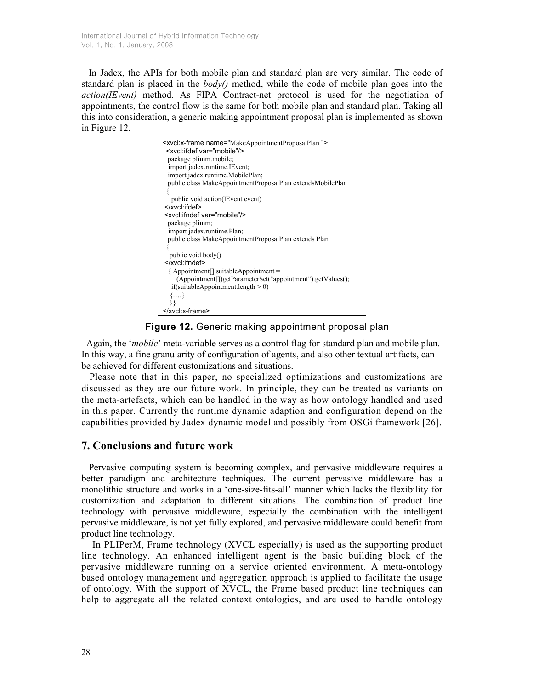In Jadex, the APIs for both mobile plan and standard plan are very similar. The code of standard plan is placed in the  $body()$  method, while the code of mobile plan goes into the action(IEvent) method. As FIPA Contract-net protocol is used for the negotiation of appointments, the control flow is the same for both mobile plan and standard plan. Taking all this into consideration, a generic making appointment proposal plan is implemented as shown in Figure 12.



## Figure 12. Generic making appointment proposal plan

 Again, the 'mobile' meta-variable serves as a control flag for standard plan and mobile plan. In this way, a fine granularity of configuration of agents, and also other textual artifacts, can be achieved for different customizations and situations.

 Please note that in this paper, no specialized optimizations and customizations are discussed as they are our future work. In principle, they can be treated as variants on the meta-artefacts, which can be handled in the way as how ontology handled and used in this paper. Currently the runtime dynamic adaption and configuration depend on the capabilities provided by Jadex dynamic model and possibly from OSGi framework [26].

# 7. Conclusions and future work

 Pervasive computing system is becoming complex, and pervasive middleware requires a better paradigm and architecture techniques. The current pervasive middleware has a monolithic structure and works in a 'one-size-fits-all' manner which lacks the flexibility for customization and adaptation to different situations. The combination of product line technology with pervasive middleware, especially the combination with the intelligent pervasive middleware, is not yet fully explored, and pervasive middleware could benefit from product line technology.

In PLIPerM, Frame technology (XVCL especially) is used as the supporting product line technology. An enhanced intelligent agent is the basic building block of the pervasive middleware running on a service oriented environment. A meta-ontology based ontology management and aggregation approach is applied to facilitate the usage of ontology. With the support of XVCL, the Frame based product line techniques can help to aggregate all the related context ontologies, and are used to handle ontology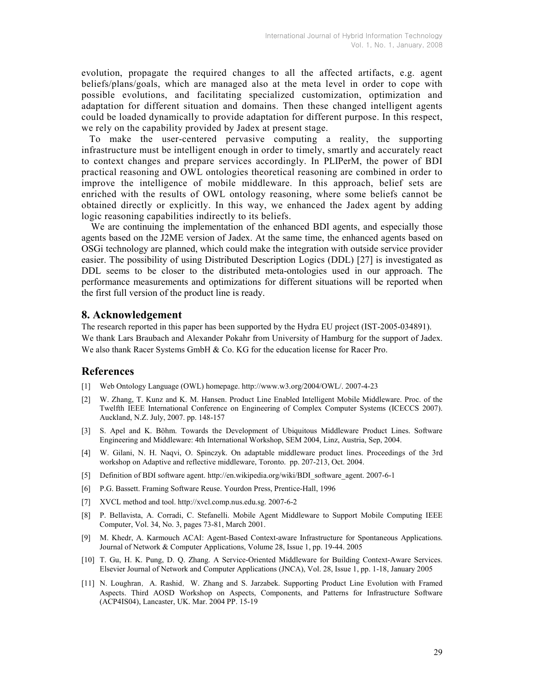evolution, propagate the required changes to all the affected artifacts, e.g. agent beliefs/plans/goals, which are managed also at the meta level in order to cope with possible evolutions, and facilitating specialized customization, optimization and adaptation for different situation and domains. Then these changed intelligent agents could be loaded dynamically to provide adaptation for different purpose. In this respect, we rely on the capability provided by Jadex at present stage.

 To make the user-centered pervasive computing a reality, the supporting infrastructure must be intelligent enough in order to timely, smartly and accurately react to context changes and prepare services accordingly. In PLIPerM, the power of BDI practical reasoning and OWL ontologies theoretical reasoning are combined in order to improve the intelligence of mobile middleware. In this approach, belief sets are enriched with the results of OWL ontology reasoning, where some beliefs cannot be obtained directly or explicitly. In this way, we enhanced the Jadex agent by adding logic reasoning capabilities indirectly to its beliefs.

 We are continuing the implementation of the enhanced BDI agents, and especially those agents based on the J2ME version of Jadex. At the same time, the enhanced agents based on OSGi technology are planned, which could make the integration with outside service provider easier. The possibility of using Distributed Description Logics (DDL) [27] is investigated as DDL seems to be closer to the distributed meta-ontologies used in our approach. The performance measurements and optimizations for different situations will be reported when the first full version of the product line is ready.

## 8. Acknowledgement

The research reported in this paper has been supported by the Hydra EU project (IST-2005-034891). We thank Lars Braubach and Alexander Pokahr from University of Hamburg for the support of Jadex. We also thank Racer Systems GmbH & Co. KG for the education license for Racer Pro.

## References

- [1] Web Ontology Language (OWL) homepage. http://www.w3.org/2004/OWL/. 2007-4-23
- [2] W. Zhang, T. Kunz and K. M. Hansen. Product Line Enabled Intelligent Mobile Middleware. Proc. of the Twelfth IEEE International Conference on Engineering of Complex Computer Systems (ICECCS 2007). Auckland, N.Z. July, 2007. pp. 148-157
- [3] S. Apel and K. Böhm. Towards the Development of Ubiquitous Middleware Product Lines. Software Engineering and Middleware: 4th International Workshop, SEM 2004, Linz, Austria, Sep, 2004.
- [4] W. Gilani, N. H. Naqvi, O. Spinczyk. On adaptable middleware product lines. Proceedings of the 3rd workshop on Adaptive and reflective middleware, Toronto. pp. 207-213, Oct. 2004.
- [5] Definition of BDI software agent. http://en.wikipedia.org/wiki/BDI\_software\_agent. 2007-6-1
- [6] P.G. Bassett. Framing Software Reuse. Yourdon Press, Prentice-Hall, 1996
- [7] XVCL method and tool. http://xvcl.comp.nus.edu.sg. 2007-6-2
- [8] P. Bellavista, A. Corradi, C. Stefanelli. Mobile Agent Middleware to Support Mobile Computing IEEE Computer, Vol. 34, No. 3, pages 73-81, March 2001.
- [9] M. Khedr, A. Karmouch ACAI: Agent-Based Context-aware Infrastructure for Spontaneous Applications. Journal of Network & Computer Applications, Volume 28, Issue 1, pp. 19-44. 2005
- [10] T. Gu, H. K. Pung, D. Q. Zhang. A Service-Oriented Middleware for Building Context-Aware Services. Elsevier Journal of Network and Computer Applications (JNCA), Vol. 28, Issue 1, pp. 1-18, January 2005
- [11] N. Loughran, A. Rashid, W. Zhang and S. Jarzabek. Supporting Product Line Evolution with Framed Aspects. Third AOSD Workshop on Aspects, Components, and Patterns for Infrastructure Software (ACP4IS04), Lancaster, UK. Mar. 2004 PP. 15-19